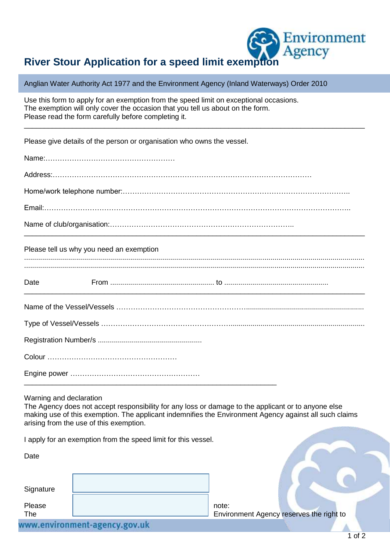## Environment

## **River Stour Application for a speed limit exemption**

Anglian Water Authority Act 1977 and the Environment Agency (Inland Waterways) Order 2010

| Use this form to apply for an exemption from the speed limit on exceptional occasions. |  |
|----------------------------------------------------------------------------------------|--|
| The exemption will only cover the occasion that you tell us about on the form.         |  |
| Please read the form carefully before completing it.                                   |  |
|                                                                                        |  |

Please give details of the person or organisation who owns the vessel.

Name:………………………………………………

Address:………………………………………………………………………………………………

Home/work telephone number:…………………………………………………………………………………..

Email:………………………………………………………………………………………………………………..

Name of club/organisation:…………………………………………………………………..

## Please tell us why you need an exemption

\_\_\_\_\_\_\_\_\_\_\_\_\_\_\_\_\_\_\_\_\_\_\_\_\_\_\_\_\_\_\_\_\_\_\_\_\_\_\_\_\_\_\_\_\_\_\_\_\_\_\_\_\_\_\_\_\_\_\_\_\_\_\_\_\_\_\_\_\_\_\_\_\_\_\_\_\_\_\_\_\_\_\_\_\_

Date From .................................................... to .................................................... \_\_\_\_\_\_\_\_\_\_\_\_\_\_\_\_\_\_\_\_\_\_\_\_\_\_\_\_\_\_\_\_\_\_\_\_\_\_\_\_\_\_\_\_\_\_\_\_\_\_\_\_\_\_\_\_\_\_\_\_\_\_\_\_\_\_\_\_\_\_\_\_\_\_\_\_\_\_\_\_\_\_\_\_\_

Warning and declaration

Date

The Agency does not accept responsibility for any loss or damage to the applicant or to anyone else making use of this exemption. The applicant indemnifies the Environment Agency against all such claims arising from the use of this exemption.

I apply for an exemption from the speed limit for this vessel.

| Dalt          |  |                    |  |  |  |
|---------------|--|--------------------|--|--|--|
| Signature     |  |                    |  |  |  |
| Please<br>The |  | note:<br>Environme |  |  |  |
|               |  |                    |  |  |  |

\_\_\_\_\_\_\_\_\_\_\_\_\_\_\_\_\_\_\_\_\_\_\_\_\_\_\_\_\_\_\_\_\_\_\_\_\_\_\_\_\_\_\_\_\_\_\_\_\_\_\_\_\_\_\_\_\_\_\_\_\_\_\_

Int Agency reserves the right to